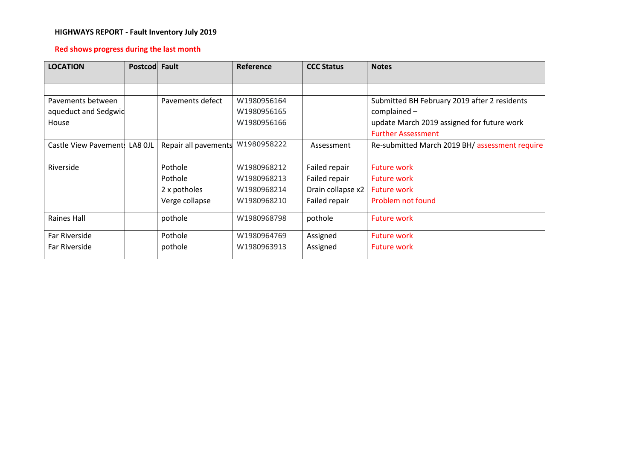# **HIGHWAYS REPORT - Fault Inventory July 2019**

# **Red shows progress during the last month**

| <b>LOCATION</b>               | Postcod Fault |                      | <b>Reference</b> | <b>CCC Status</b> | <b>Notes</b>                                   |
|-------------------------------|---------------|----------------------|------------------|-------------------|------------------------------------------------|
|                               |               |                      |                  |                   |                                                |
|                               |               |                      |                  |                   |                                                |
| Pavements between             |               | Pavements defect     | W1980956164      |                   | Submitted BH February 2019 after 2 residents   |
| aqueduct and Sedgwic          |               |                      | W1980956165      |                   | $complained -$                                 |
| House                         |               |                      | W1980956166      |                   | update March 2019 assigned for future work     |
|                               |               |                      |                  |                   | <b>Further Assessment</b>                      |
| Castle View Pavement: LA8 OJL |               | Repair all pavements | W1980958222      | Assessment        | Re-submitted March 2019 BH/ assessment require |
|                               |               |                      |                  |                   |                                                |
| Riverside                     |               | Pothole              | W1980968212      | Failed repair     | <b>Future work</b>                             |
|                               |               | Pothole              | W1980968213      | Failed repair     | <b>Future work</b>                             |
|                               |               | 2 x potholes         | W1980968214      | Drain collapse x2 | <b>Future work</b>                             |
|                               |               | Verge collapse       | W1980968210      | Failed repair     | Problem not found                              |
|                               |               |                      |                  |                   |                                                |
| Raines Hall                   |               | pothole              | W1980968798      | pothole           | <b>Future work</b>                             |
| Far Riverside                 |               | Pothole              | W1980964769      | Assigned          | <b>Future work</b>                             |
| Far Riverside                 |               | pothole              | W1980963913      | Assigned          | <b>Future work</b>                             |
|                               |               |                      |                  |                   |                                                |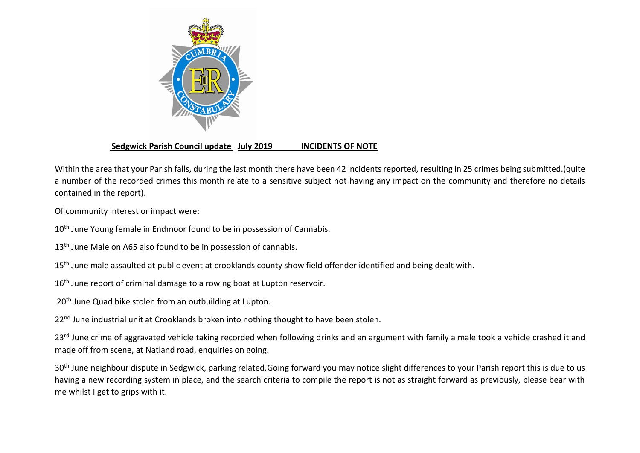

# **Sedgwick Parish Council update July 2019 INCIDENTS OF NOTE**

Within the area that your Parish falls, during the last month there have been 42 incidents reported, resulting in 25 crimes being submitted.(quite a number of the recorded crimes this month relate to a sensitive subject not having any impact on the community and therefore no details contained in the report).

Of community interest or impact were:

10<sup>th</sup> June Young female in Endmoor found to be in possession of Cannabis.

13<sup>th</sup> June Male on A65 also found to be in possession of cannabis.

- 15<sup>th</sup> June male assaulted at public event at crooklands county show field offender identified and being dealt with.
- 16<sup>th</sup> June report of criminal damage to a rowing boat at Lupton reservoir.
- 20<sup>th</sup> June Quad bike stolen from an outbuilding at Lupton.

22<sup>nd</sup> June industrial unit at Crooklands broken into nothing thought to have been stolen.

23<sup>rd</sup> June crime of aggravated vehicle taking recorded when following drinks and an argument with family a male took a vehicle crashed it and made off from scene, at Natland road, enquiries on going.

30<sup>th</sup> June neighbour dispute in Sedgwick, parking related.Going forward you may notice slight differences to your Parish report this is due to us having a new recording system in place, and the search criteria to compile the report is not as straight forward as previously, please bear with me whilst I get to grips with it.